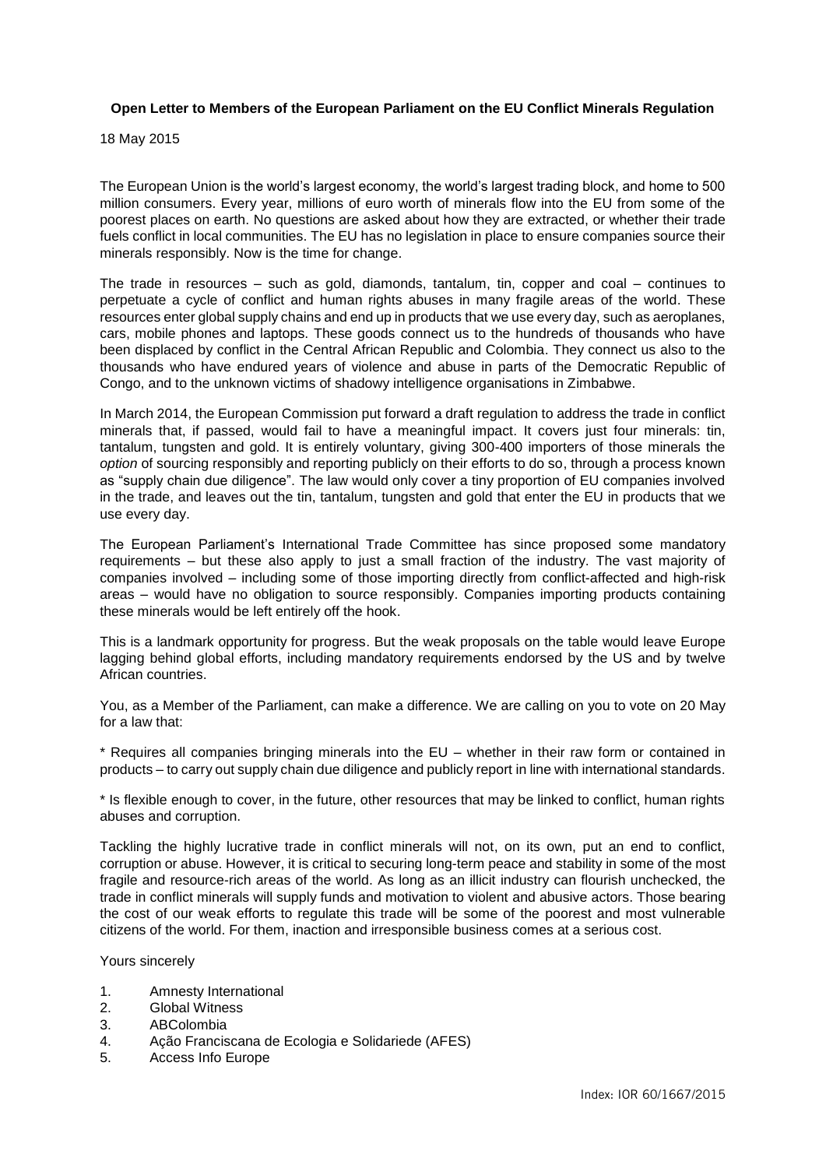## **Open Letter to Members of the European Parliament on the EU Conflict Minerals Regulation**

18 May 2015

The European Union is the world's largest economy, the world's largest trading block, and home to 500 million consumers. Every year, millions of euro worth of minerals flow into the EU from some of the poorest places on earth. No questions are asked about how they are extracted, or whether their trade fuels conflict in local communities. The EU has no legislation in place to ensure companies source their minerals responsibly. Now is the time for change.

The trade in resources – such as gold, diamonds, tantalum, tin, copper and coal – continues to perpetuate a cycle of conflict and human rights abuses in many fragile areas of the world. These resources enter global supply chains and end up in products that we use every day, such as aeroplanes, cars, mobile phones and laptops. These goods connect us to the hundreds of thousands who have been displaced by conflict in the Central African Republic and Colombia. They connect us also to the thousands who have endured years of violence and abuse in parts of the Democratic Republic of Congo, and to the unknown victims of shadowy intelligence organisations in Zimbabwe.

In March 2014, the European Commission put forward a draft regulation to address the trade in conflict minerals that, if passed, would fail to have a meaningful impact. It covers just four minerals: tin, tantalum, tungsten and gold. It is entirely voluntary, giving 300-400 importers of those minerals the *option* of sourcing responsibly and reporting publicly on their efforts to do so, through a process known as "supply chain due diligence". The law would only cover a tiny proportion of EU companies involved in the trade, and leaves out the tin, tantalum, tungsten and gold that enter the EU in products that we use every day.

The European Parliament's International Trade Committee has since proposed some mandatory requirements – but these also apply to just a small fraction of the industry. The vast majority of companies involved – including some of those importing directly from conflict-affected and high-risk areas – would have no obligation to source responsibly. Companies importing products containing these minerals would be left entirely off the hook.

This is a landmark opportunity for progress. But the weak proposals on the table would leave Europe lagging behind global efforts, including mandatory requirements endorsed by the US and by twelve African countries.

You, as a Member of the Parliament, can make a difference. We are calling on you to vote on 20 May for a law that:

\* Requires all companies bringing minerals into the EU – whether in their raw form or contained in products – to carry out supply chain due diligence and publicly report in line with international standards.

\* Is flexible enough to cover, in the future, other resources that may be linked to conflict, human rights abuses and corruption.

Tackling the highly lucrative trade in conflict minerals will not, on its own, put an end to conflict, corruption or abuse. However, it is critical to securing long-term peace and stability in some of the most fragile and resource-rich areas of the world. As long as an illicit industry can flourish unchecked, the trade in conflict minerals will supply funds and motivation to violent and abusive actors. Those bearing the cost of our weak efforts to regulate this trade will be some of the poorest and most vulnerable citizens of the world. For them, inaction and irresponsible business comes at a serious cost.

Yours sincerely

- 1. Amnesty International
- 2. Global Witness
- 3. ABColombia
- 4. Ação Franciscana de Ecologia e Solidariede (AFES)
- 5. Access Info Europe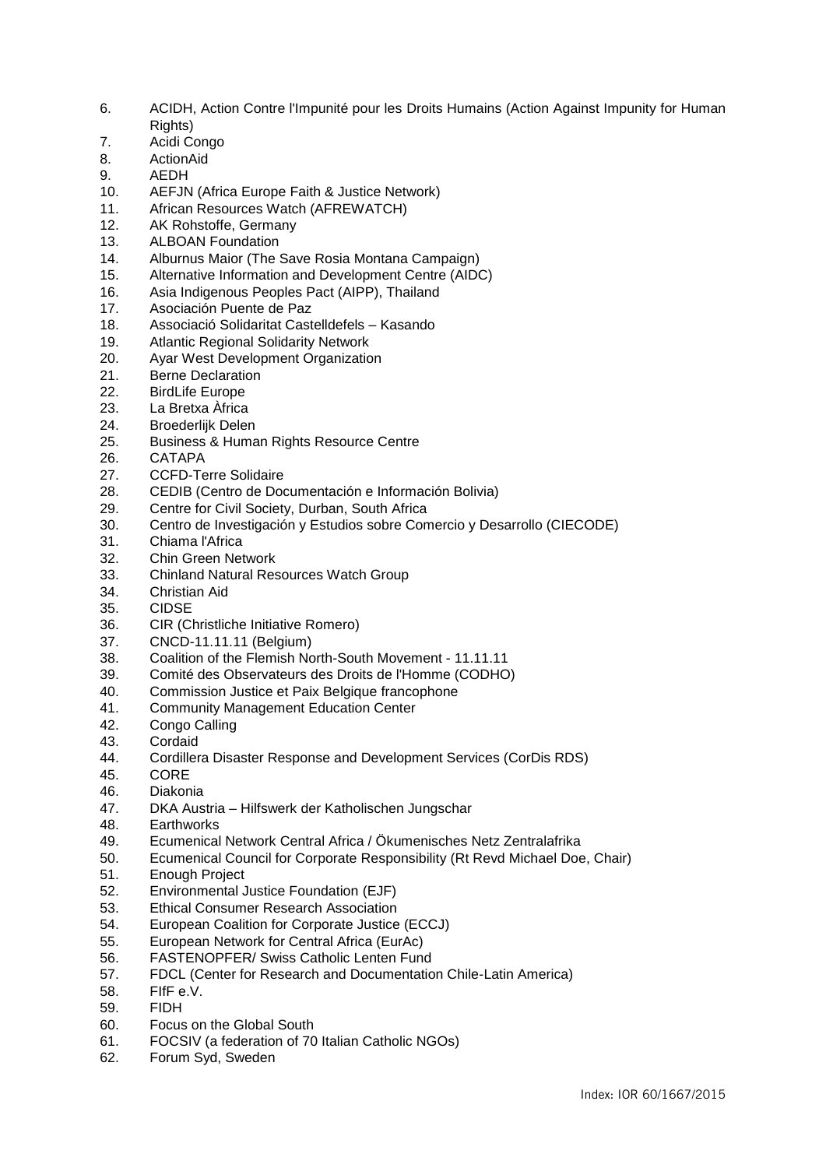- 6. ACIDH, Action Contre l'Impunité pour les Droits Humains (Action Against Impunity for Human Rights)
- 7. Acidi Congo
- 8. ActionAid
- 9. AEDH
- 10. AEFJN (Africa Europe Faith & Justice Network)
- 11. African Resources Watch (AFREWATCH)
- 12. AK Rohstoffe, Germany
- 13. ALBOAN Foundation
- 14. Alburnus Maior (The Save Rosia Montana Campaign)
- 15. Alternative Information and Development Centre (AIDC)
- 16. Asia Indigenous Peoples Pact (AIPP), Thailand
- 17. Asociación Puente de Paz
- 18. Associació Solidaritat Castelldefels Kasando
- 19. Atlantic Regional Solidarity Network
- 20. Ayar West Development Organization
- 21. Berne Declaration
- 22. BirdLife Europe
- 23. La Bretxa Àfrica
- 24. Broederlijk Delen
- 25. Business & Human Rights Resource Centre
- 26. CATAPA
- 27. CCFD-Terre Solidaire
- 28. CEDIB (Centro de Documentación e Información Bolivia)<br>29. Centre for Civil Society. Durban. South Africa
- Centre for Civil Society, Durban, South Africa
- 30. Centro de Investigación y Estudios sobre Comercio y Desarrollo (CIECODE)
- 31. Chiama l'Africa
- 32. Chin Green Network
- 33. Chinland Natural Resources Watch Group
- 34. Christian Aid
- 35. CIDSE
- 36. CIR (Christliche Initiative Romero)
- 37. CNCD-11.11.11 (Belgium)
- 38. Coalition of the Flemish North-South Movement 11.11.11
- 39. Comité des Observateurs des Droits de l'Homme (CODHO)
- 40. Commission Justice et Paix Belgique francophone
- 41. Community Management Education Center
- 42. Congo Calling
- 43. Cordaid
- 44. Cordillera Disaster Response and Development Services (CorDis RDS)
- 45. CORE
- 46. Diakonia
- 47. DKA Austria Hilfswerk der Katholischen Jungschar
- 48. Earthworks
- 49. Ecumenical Network Central Africa / Ökumenisches Netz Zentralafrika
- 50. Ecumenical Council for Corporate Responsibility (Rt Revd Michael Doe, Chair)
- 51. Enough Project
- 52. Environmental Justice Foundation (EJF)
- 53. Ethical Consumer Research Association
- 54. European Coalition for Corporate Justice (ECCJ)
- 55. European Network for Central Africa (EurAc)
- 56. FASTENOPFER/ Swiss Catholic Lenten Fund
- 57. FDCL (Center for Research and Documentation Chile-Latin America)
- 58. FIfF e.V.
- 59. FIDH
- 60. Focus on the Global South
- 61. FOCSIV (a federation of 70 Italian Catholic NGOs)
- 62. Forum Syd, Sweden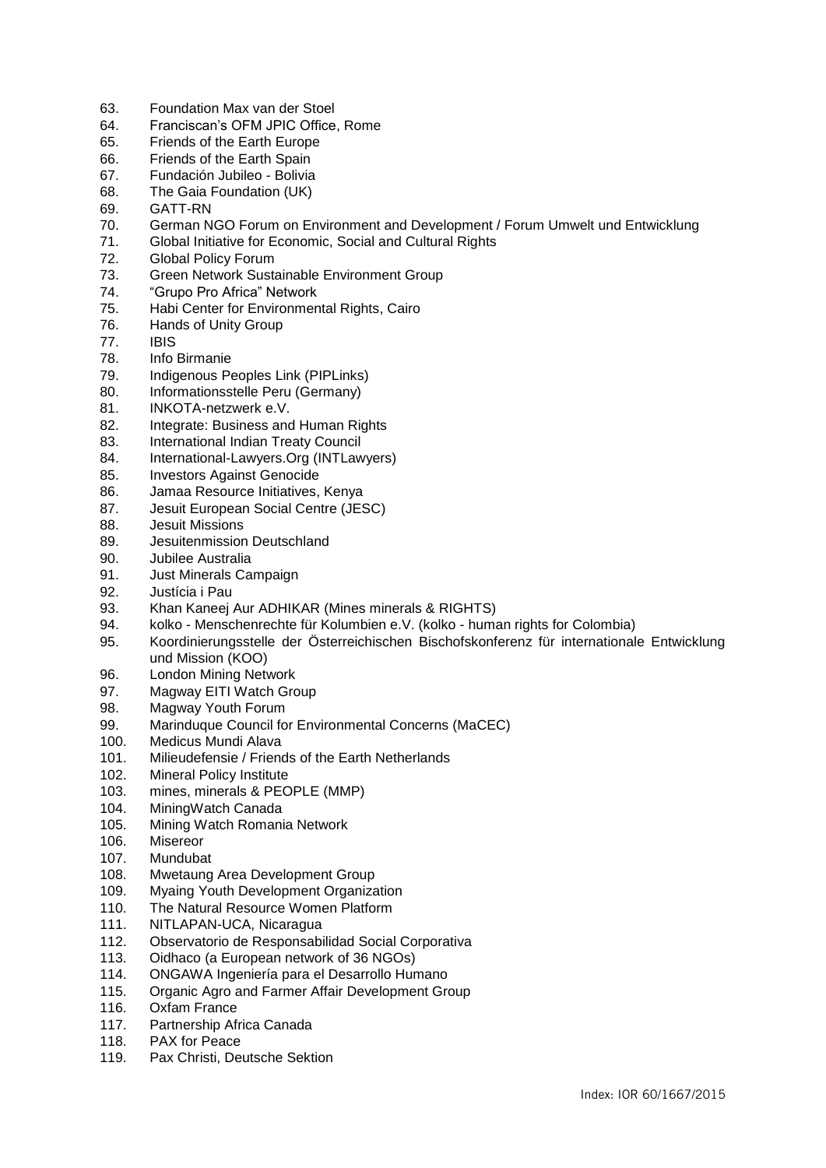- 63. Foundation Max van der Stoel
- 64. Franciscan's OFM JPIC Office, Rome
- 65. Friends of the Earth Europe
- 66. Friends of the Earth Spain
- 67. Fundación Jubileo Bolivia
- 68. The Gaia Foundation (UK)
- 69. GATT-RN
- 70. German NGO Forum on Environment and Development / Forum Umwelt und Entwicklung
- 71. Global Initiative for Economic, Social and Cultural Rights
- 72. Global Policy Forum
- 73. Green Network Sustainable Environment Group
- 74. "Grupo Pro Africa" Network
- 75. Habi Center for Environmental Rights, Cairo
- Hands of Unity Group
- 77. IBIS
- 78. Info Birmanie
- 79. Indigenous Peoples Link (PIPLinks)
- 80. Informationsstelle Peru (Germany)
- 81. INKOTA-netzwerk e.V.
- 82. Integrate: Business and Human Rights
- 83. International Indian Treaty Council
- 84. International-Lawyers.Org (INTLawyers)
- 85. Investors Against Genocide
- 86. Jamaa Resource Initiatives, Kenya<br>87. Jesuit European Social Centre (JE)
- Jesuit European Social Centre (JESC)
- 88. Jesuit Missions
- 89. Jesuitenmission Deutschland
- 90. Jubilee Australia
- 91. Just Minerals Campaign
- 92. Justícia i Pau
- 93. Khan Kaneej Aur ADHIKAR (Mines minerals & RIGHTS)
- 94. kolko Menschenrechte für Kolumbien e.V. (kolko human rights for Colombia)
- 95. Koordinierungsstelle der Österreichischen Bischofskonferenz für internationale Entwicklung und Mission (KOO)
- 96. London Mining Network
- 97. Magway EITI Watch Group
- 98. Magway Youth Forum
- 99. Marinduque Council for Environmental Concerns (MaCEC)
- 100. Medicus Mundi Alava
- 101. Milieudefensie / Friends of the Earth Netherlands
- 102. Mineral Policy Institute
- 103. mines, minerals & PEOPLE (MMP)
- 104. MiningWatch Canada
- 105. Mining Watch Romania Network
- 106. Misereor
- 107. Mundubat
- 108. Mwetaung Area Development Group
- 109. Myaing Youth Development Organization
- 110. The Natural Resource Women Platform
- 111. NITLAPAN-UCA, Nicaragua
- 112. Observatorio de Responsabilidad Social Corporativa
- 113. Oidhaco (a European network of 36 NGOs)
- 114. ONGAWA Ingeniería para el Desarrollo Humano
- 115. Organic Agro and Farmer Affair Development Group
- 116. Oxfam France
- 117. Partnership Africa Canada
- 118. PAX for Peace
- 119. Pax Christi, Deutsche Sektion